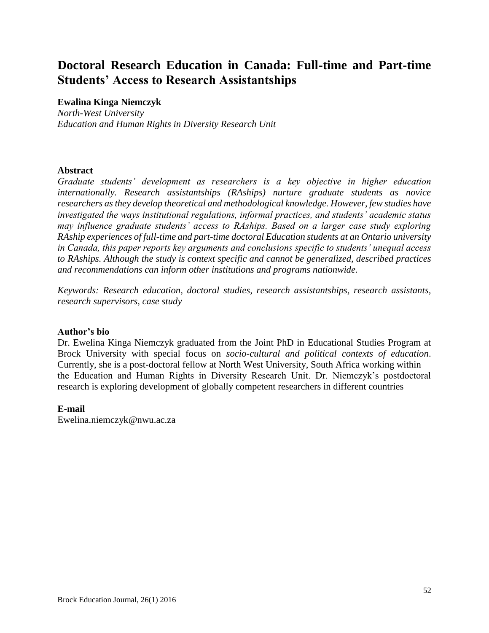# **Doctoral Research Education in Canada: Full-time and Part-time Students' Access to Research Assistantships**

## **Ewalina Kinga Niemczyk**

*North-West University Education and Human Rights in Diversity Research Unit*

## **Abstract**

*Graduate students' development as researchers is a key objective in higher education internationally. Research assistantships (RAships) nurture graduate students as novice researchers as they develop theoretical and methodological knowledge. However, few studies have investigated the ways institutional regulations, informal practices, and students' academic status may influence graduate students' access to RAships. Based on a larger case study exploring RAship experiences of full-time and part-time doctoral Education students at an Ontario university in Canada, this paper reports key arguments and conclusions specific to students' unequal access to RAships. Although the study is context specific and cannot be generalized, described practices and recommendations can inform other institutions and programs nationwide.* 

*Keywords: Research education, doctoral studies, research assistantships, research assistants, research supervisors, case study*

## **Author's bio**

Dr. Ewelina Kinga Niemczyk graduated from the Joint PhD in Educational Studies Program at Brock University with special focus on *socio-cultural and political contexts of education*. Currently, she is a post-doctoral fellow at North West University, South Africa working within the Education and Human Rights in Diversity Research Unit. Dr. Niemczyk's postdoctoral research is exploring development of globally competent researchers in different countries

## **E-mail**

Ewelina.niemczyk@nwu.ac.za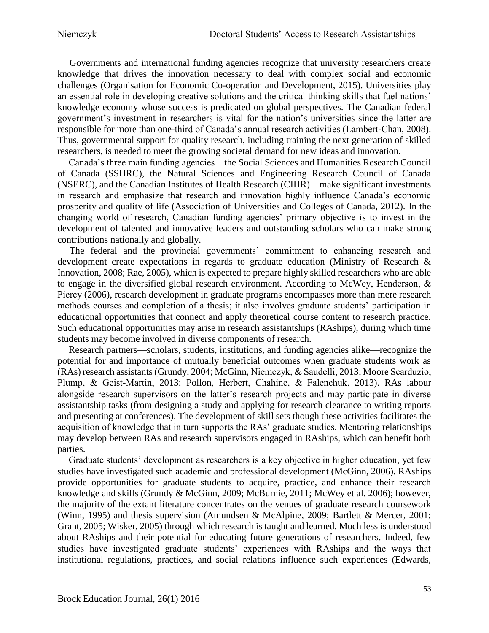Governments and international funding agencies recognize that university researchers create knowledge that drives the innovation necessary to deal with complex social and economic challenges (Organisation for Economic Co-operation and Development, 2015). Universities play an essential role in developing creative solutions and the critical thinking skills that fuel nations' knowledge economy whose success is predicated on global perspectives. The Canadian federal government's investment in researchers is vital for the nation's universities since the latter are responsible for more than one-third of Canada's annual research activities (Lambert-Chan, 2008). Thus, governmental support for quality research, including training the next generation of skilled researchers, is needed to meet the growing societal demand for new ideas and innovation.

Canada's three main funding agencies—the Social Sciences and Humanities Research Council of Canada (SSHRC), the Natural Sciences and Engineering Research Council of Canada (NSERC), and the Canadian Institutes of Health Research (CIHR)—make significant investments in research and emphasize that research and innovation highly influence Canada's economic prosperity and quality of life (Association of Universities and Colleges of Canada, 2012). In the changing world of research, Canadian funding agencies' primary objective is to invest in the development of talented and innovative leaders and outstanding scholars who can make strong contributions nationally and globally.

 The federal and the provincial governments' commitment to enhancing research and development create expectations in regards to graduate education (Ministry of Research & Innovation, 2008; Rae, 2005), which is expected to prepare highly skilled researchers who are able to engage in the diversified global research environment. According to McWey, Henderson, & Piercy (2006), research development in graduate programs encompasses more than mere research methods courses and completion of a thesis; it also involves graduate students' participation in educational opportunities that connect and apply theoretical course content to research practice. Such educational opportunities may arise in research assistantships (RAships), during which time students may become involved in diverse components of research.

Research partners—scholars, students, institutions, and funding agencies alike—recognize the potential for and importance of mutually beneficial outcomes when graduate students work as (RAs) research assistants (Grundy, 2004; McGinn, Niemczyk, & Saudelli, 2013; Moore Scarduzio, Plump, & Geist-Martin, 2013; Pollon, Herbert, Chahine, & Falenchuk, 2013). RAs labour alongside research supervisors on the latter's research projects and may participate in diverse assistantship tasks (from designing a study and applying for research clearance to writing reports and presenting at conferences). The development of skill sets though these activities facilitates the acquisition of knowledge that in turn supports the RAs' graduate studies. Mentoring relationships may develop between RAs and research supervisors engaged in RAships, which can benefit both parties.

Graduate students' development as researchers is a key objective in higher education, yet few studies have investigated such academic and professional development (McGinn, 2006). RAships provide opportunities for graduate students to acquire, practice, and enhance their research knowledge and skills (Grundy & McGinn, 2009; McBurnie, 2011; McWey et al. 2006); however, the majority of the extant literature concentrates on the venues of graduate research coursework (Winn, 1995) and thesis supervision (Amundsen & McAlpine, 2009; Bartlett & Mercer, 2001; Grant, 2005; Wisker, 2005) through which research is taught and learned. Much less is understood about RAships and their potential for educating future generations of researchers. Indeed, few studies have investigated graduate students' experiences with RAships and the ways that institutional regulations, practices, and social relations influence such experiences (Edwards,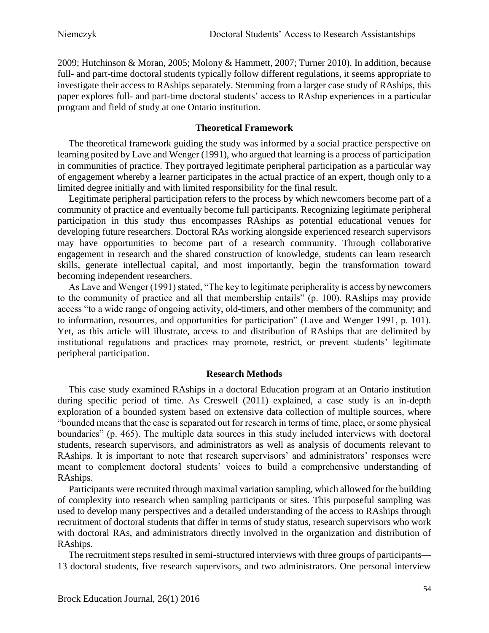2009; Hutchinson & Moran, 2005; Molony & Hammett, 2007; Turner 2010). In addition, because full- and part-time doctoral students typically follow different regulations, it seems appropriate to investigate their access to RAships separately. Stemming from a larger case study of RAships, this paper explores full- and part-time doctoral students' access to RAship experiences in a particular program and field of study at one Ontario institution.

## **Theoretical Framework**

The theoretical framework guiding the study was informed by a social practice perspective on learning posited by Lave and Wenger (1991), who argued that learning is a process of participation in communities of practice. They portrayed legitimate peripheral participation as a particular way of engagement whereby a learner participates in the actual practice of an expert, though only to a limited degree initially and with limited responsibility for the final result.

Legitimate peripheral participation refers to the process by which newcomers become part of a community of practice and eventually become full participants. Recognizing legitimate peripheral participation in this study thus encompasses RAships as potential educational venues for developing future researchers. Doctoral RAs working alongside experienced research supervisors may have opportunities to become part of a research community. Through collaborative engagement in research and the shared construction of knowledge, students can learn research skills, generate intellectual capital, and most importantly, begin the transformation toward becoming independent researchers.

As Lave and Wenger (1991) stated, "The key to legitimate peripherality is access by newcomers to the community of practice and all that membership entails" (p. 100). RAships may provide access "to a wide range of ongoing activity, old-timers, and other members of the community; and to information, resources, and opportunities for participation" (Lave and Wenger 1991, p. 101). Yet, as this article will illustrate, access to and distribution of RAships that are delimited by institutional regulations and practices may promote, restrict, or prevent students' legitimate peripheral participation.

## **Research Methods**

This case study examined RAships in a doctoral Education program at an Ontario institution during specific period of time. As Creswell (2011) explained, a case study is an in-depth exploration of a bounded system based on extensive data collection of multiple sources, where "bounded means that the case is separated out for research in terms of time, place, or some physical boundaries" (p. 465). The multiple data sources in this study included interviews with doctoral students, research supervisors, and administrators as well as analysis of documents relevant to RAships. It is important to note that research supervisors' and administrators' responses were meant to complement doctoral students' voices to build a comprehensive understanding of RAships.

Participants were recruited through maximal variation sampling, which allowed for the building of complexity into research when sampling participants or sites. This purposeful sampling was used to develop many perspectives and a detailed understanding of the access to RAships through recruitment of doctoral students that differ in terms of study status, research supervisors who work with doctoral RAs, and administrators directly involved in the organization and distribution of RAships.

The recruitment steps resulted in semi-structured interviews with three groups of participants— 13 doctoral students, five research supervisors, and two administrators. One personal interview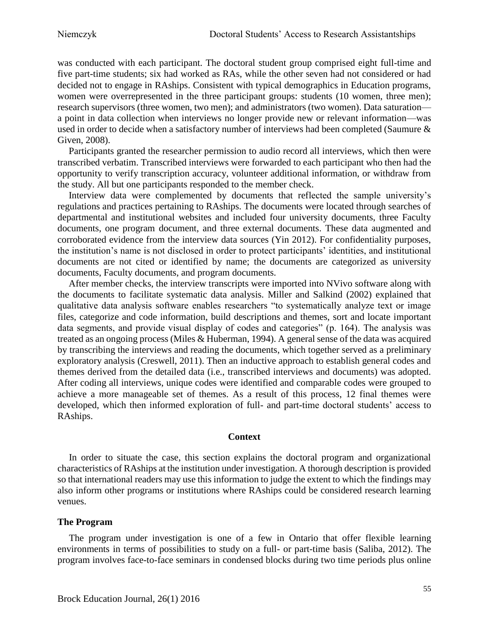was conducted with each participant. The doctoral student group comprised eight full-time and five part-time students; six had worked as RAs, while the other seven had not considered or had decided not to engage in RAships. Consistent with typical demographics in Education programs, women were overrepresented in the three participant groups: students (10 women, three men); research supervisors (three women, two men); and administrators (two women). Data saturation a point in data collection when interviews no longer provide new or relevant information—was used in order to decide when a satisfactory number of interviews had been completed (Saumure & Given, 2008).

Participants granted the researcher permission to audio record all interviews, which then were transcribed verbatim. Transcribed interviews were forwarded to each participant who then had the opportunity to verify transcription accuracy, volunteer additional information, or withdraw from the study. All but one participants responded to the member check.

Interview data were complemented by documents that reflected the sample university's regulations and practices pertaining to RAships. The documents were located through searches of departmental and institutional websites and included four university documents, three Faculty documents, one program document, and three external documents. These data augmented and corroborated evidence from the interview data sources (Yin 2012). For confidentiality purposes, the institution's name is not disclosed in order to protect participants' identities, and institutional documents are not cited or identified by name; the documents are categorized as university documents, Faculty documents, and program documents.

After member checks, the interview transcripts were imported into NVivo software along with the documents to facilitate systematic data analysis. Miller and Salkind (2002) explained that qualitative data analysis software enables researchers "to systematically analyze text or image files, categorize and code information, build descriptions and themes, sort and locate important data segments, and provide visual display of codes and categories" (p. 164). The analysis was treated as an ongoing process (Miles & Huberman, 1994). A general sense of the data was acquired by transcribing the interviews and reading the documents, which together served as a preliminary exploratory analysis (Creswell, 2011). Then an inductive approach to establish general codes and themes derived from the detailed data (i.e., transcribed interviews and documents) was adopted. After coding all interviews, unique codes were identified and comparable codes were grouped to achieve a more manageable set of themes. As a result of this process, 12 final themes were developed, which then informed exploration of full- and part-time doctoral students' access to RAships.

## **Context**

In order to situate the case, this section explains the doctoral program and organizational characteristics of RAships at the institution under investigation. A thorough description is provided so that international readers may use this information to judge the extent to which the findings may also inform other programs or institutions where RAships could be considered research learning venues.

## **The Program**

The program under investigation is one of a few in Ontario that offer flexible learning environments in terms of possibilities to study on a full- or part-time basis (Saliba, 2012). The program involves face-to-face seminars in condensed blocks during two time periods plus online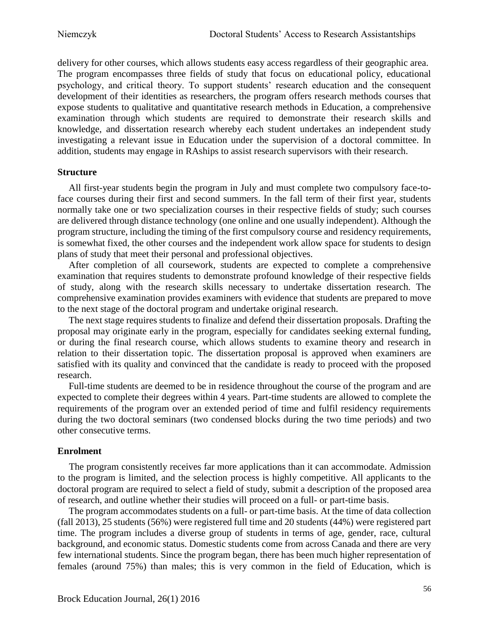delivery for other courses, which allows students easy access regardless of their geographic area. The program encompasses three fields of study that focus on educational policy, educational psychology, and critical theory. To support students' research education and the consequent development of their identities as researchers, the program offers research methods courses that expose students to qualitative and quantitative research methods in Education, a comprehensive examination through which students are required to demonstrate their research skills and knowledge, and dissertation research whereby each student undertakes an independent study investigating a relevant issue in Education under the supervision of a doctoral committee. In addition, students may engage in RAships to assist research supervisors with their research.

#### **Structure**

All first-year students begin the program in July and must complete two compulsory face-toface courses during their first and second summers. In the fall term of their first year, students normally take one or two specialization courses in their respective fields of study; such courses are delivered through distance technology (one online and one usually independent). Although the program structure, including the timing of the first compulsory course and residency requirements, is somewhat fixed, the other courses and the independent work allow space for students to design plans of study that meet their personal and professional objectives.

After completion of all coursework, students are expected to complete a comprehensive examination that requires students to demonstrate profound knowledge of their respective fields of study, along with the research skills necessary to undertake dissertation research. The comprehensive examination provides examiners with evidence that students are prepared to move to the next stage of the doctoral program and undertake original research.

The next stage requires students to finalize and defend their dissertation proposals. Drafting the proposal may originate early in the program, especially for candidates seeking external funding, or during the final research course, which allows students to examine theory and research in relation to their dissertation topic. The dissertation proposal is approved when examiners are satisfied with its quality and convinced that the candidate is ready to proceed with the proposed research.

Full-time students are deemed to be in residence throughout the course of the program and are expected to complete their degrees within 4 years. Part-time students are allowed to complete the requirements of the program over an extended period of time and fulfil residency requirements during the two doctoral seminars (two condensed blocks during the two time periods) and two other consecutive terms.

#### **Enrolment**

The program consistently receives far more applications than it can accommodate. Admission to the program is limited, and the selection process is highly competitive. All applicants to the doctoral program are required to select a field of study, submit a description of the proposed area of research, and outline whether their studies will proceed on a full- or part-time basis.

The program accommodates students on a full- or part-time basis. At the time of data collection (fall 2013), 25 students (56%) were registered full time and 20 students (44%) were registered part time. The program includes a diverse group of students in terms of age, gender, race, cultural background, and economic status. Domestic students come from across Canada and there are very few international students. Since the program began, there has been much higher representation of females (around 75%) than males; this is very common in the field of Education, which is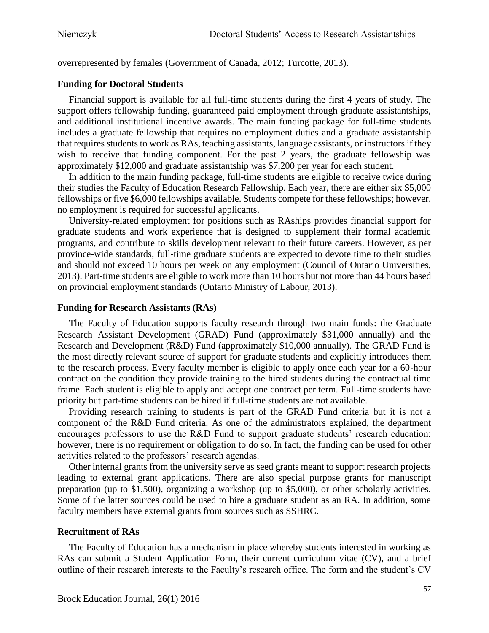overrepresented by females (Government of Canada, 2012; Turcotte, 2013).

## **Funding for Doctoral Students**

Financial support is available for all full-time students during the first 4 years of study. The support offers fellowship funding, guaranteed paid employment through graduate assistantships, and additional institutional incentive awards. The main funding package for full-time students includes a graduate fellowship that requires no employment duties and a graduate assistantship that requires students to work as RAs, teaching assistants, language assistants, or instructors if they wish to receive that funding component. For the past 2 years, the graduate fellowship was approximately \$12,000 and graduate assistantship was \$7,200 per year for each student.

In addition to the main funding package, full-time students are eligible to receive twice during their studies the Faculty of Education Research Fellowship. Each year, there are either six \$5,000 fellowships or five \$6,000 fellowships available. Students compete for these fellowships; however, no employment is required for successful applicants.

University-related employment for positions such as RAships provides financial support for graduate students and work experience that is designed to supplement their formal academic programs, and contribute to skills development relevant to their future careers. However, as per province-wide standards, full-time graduate students are expected to devote time to their studies and should not exceed 10 hours per week on any employment (Council of Ontario Universities, 2013). Part-time students are eligible to work more than 10 hours but not more than 44 hours based on provincial employment standards (Ontario Ministry of Labour, 2013).

## **Funding for Research Assistants (RAs)**

The Faculty of Education supports faculty research through two main funds: the Graduate Research Assistant Development (GRAD) Fund (approximately \$31,000 annually) and the Research and Development (R&D) Fund (approximately \$10,000 annually). The GRAD Fund is the most directly relevant source of support for graduate students and explicitly introduces them to the research process. Every faculty member is eligible to apply once each year for a 60-hour contract on the condition they provide training to the hired students during the contractual time frame. Each student is eligible to apply and accept one contract per term. Full-time students have priority but part-time students can be hired if full-time students are not available.

Providing research training to students is part of the GRAD Fund criteria but it is not a component of the R&D Fund criteria. As one of the administrators explained, the department encourages professors to use the R&D Fund to support graduate students' research education; however, there is no requirement or obligation to do so. In fact, the funding can be used for other activities related to the professors' research agendas.

Other internal grants from the university serve as seed grants meant to support research projects leading to external grant applications. There are also special purpose grants for manuscript preparation (up to \$1,500), organizing a workshop (up to \$5,000), or other scholarly activities. Some of the latter sources could be used to hire a graduate student as an RA. In addition, some faculty members have external grants from sources such as SSHRC.

#### **Recruitment of RAs**

The Faculty of Education has a mechanism in place whereby students interested in working as RAs can submit a Student Application Form, their current curriculum vitae (CV), and a brief outline of their research interests to the Faculty's research office. The form and the student's CV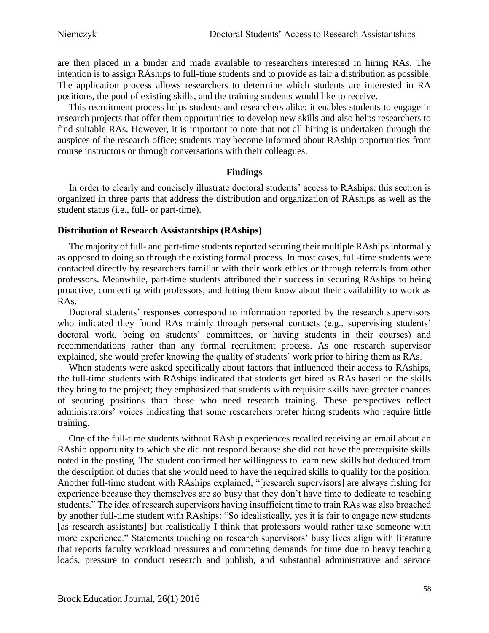are then placed in a binder and made available to researchers interested in hiring RAs. The intention is to assign RAships to full-time students and to provide as fair a distribution as possible. The application process allows researchers to determine which students are interested in RA positions, the pool of existing skills, and the training students would like to receive.

This recruitment process helps students and researchers alike; it enables students to engage in research projects that offer them opportunities to develop new skills and also helps researchers to find suitable RAs. However, it is important to note that not all hiring is undertaken through the auspices of the research office; students may become informed about RAship opportunities from course instructors or through conversations with their colleagues.

## **Findings**

In order to clearly and concisely illustrate doctoral students' access to RAships, this section is organized in three parts that address the distribution and organization of RAships as well as the student status (i.e., full- or part-time).

# **Distribution of Research Assistantships (RAships)**

The majority of full- and part-time students reported securing their multiple RAships informally as opposed to doing so through the existing formal process. In most cases, full-time students were contacted directly by researchers familiar with their work ethics or through referrals from other professors. Meanwhile, part-time students attributed their success in securing RAships to being proactive, connecting with professors, and letting them know about their availability to work as RAs.

Doctoral students' responses correspond to information reported by the research supervisors who indicated they found RAs mainly through personal contacts (e.g., supervising students' doctoral work, being on students' committees, or having students in their courses) and recommendations rather than any formal recruitment process. As one research supervisor explained, she would prefer knowing the quality of students' work prior to hiring them as RAs.

When students were asked specifically about factors that influenced their access to RAships, the full-time students with RAships indicated that students get hired as RAs based on the skills they bring to the project; they emphasized that students with requisite skills have greater chances of securing positions than those who need research training. These perspectives reflect administrators' voices indicating that some researchers prefer hiring students who require little training.

One of the full-time students without RAship experiences recalled receiving an email about an RAship opportunity to which she did not respond because she did not have the prerequisite skills noted in the posting. The student confirmed her willingness to learn new skills but deduced from the description of duties that she would need to have the required skills to qualify for the position. Another full-time student with RAships explained, "[research supervisors] are always fishing for experience because they themselves are so busy that they don't have time to dedicate to teaching students." The idea of research supervisors having insufficient time to train RAs was also broached by another full-time student with RAships: "So idealistically, yes it is fair to engage new students [as research assistants] but realistically I think that professors would rather take someone with more experience." Statements touching on research supervisors' busy lives align with literature that reports faculty workload pressures and competing demands for time due to heavy teaching loads, pressure to conduct research and publish, and substantial administrative and service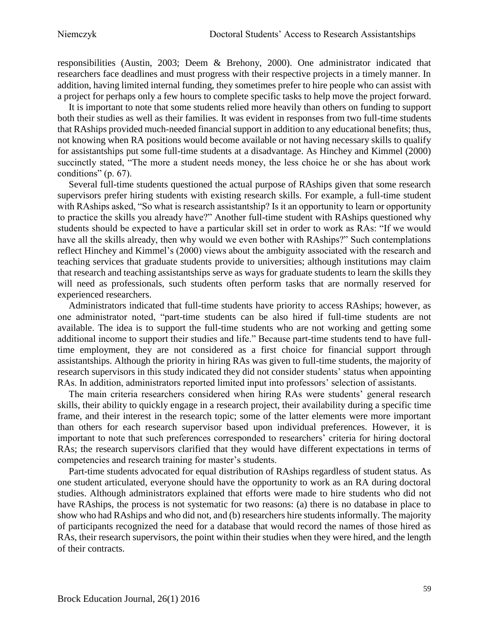responsibilities (Austin, 2003; Deem & Brehony, 2000). One administrator indicated that researchers face deadlines and must progress with their respective projects in a timely manner. In addition, having limited internal funding, they sometimes prefer to hire people who can assist with a project for perhaps only a few hours to complete specific tasks to help move the project forward.

It is important to note that some students relied more heavily than others on funding to support both their studies as well as their families. It was evident in responses from two full-time students that RAships provided much-needed financial support in addition to any educational benefits; thus, not knowing when RA positions would become available or not having necessary skills to qualify for assistantships put some full-time students at a disadvantage. As Hinchey and Kimmel (2000) succinctly stated, "The more a student needs money, the less choice he or she has about work conditions" (p. 67).

Several full-time students questioned the actual purpose of RAships given that some research supervisors prefer hiring students with existing research skills. For example, a full-time student with RAships asked, "So what is research assistantship? Is it an opportunity to learn or opportunity to practice the skills you already have?" Another full-time student with RAships questioned why students should be expected to have a particular skill set in order to work as RAs: "If we would have all the skills already, then why would we even bother with RAships?" Such contemplations reflect Hinchey and Kimmel's (2000) views about the ambiguity associated with the research and teaching services that graduate students provide to universities; although institutions may claim that research and teaching assistantships serve as ways for graduate students to learn the skills they will need as professionals, such students often perform tasks that are normally reserved for experienced researchers.

Administrators indicated that full-time students have priority to access RAships; however, as one administrator noted, "part-time students can be also hired if full-time students are not available. The idea is to support the full-time students who are not working and getting some additional income to support their studies and life." Because part-time students tend to have fulltime employment, they are not considered as a first choice for financial support through assistantships. Although the priority in hiring RAs was given to full-time students, the majority of research supervisors in this study indicated they did not consider students' status when appointing RAs. In addition, administrators reported limited input into professors' selection of assistants.

The main criteria researchers considered when hiring RAs were students' general research skills, their ability to quickly engage in a research project, their availability during a specific time frame, and their interest in the research topic; some of the latter elements were more important than others for each research supervisor based upon individual preferences. However, it is important to note that such preferences corresponded to researchers' criteria for hiring doctoral RAs; the research supervisors clarified that they would have different expectations in terms of competencies and research training for master's students.

Part-time students advocated for equal distribution of RAships regardless of student status. As one student articulated, everyone should have the opportunity to work as an RA during doctoral studies. Although administrators explained that efforts were made to hire students who did not have RAships, the process is not systematic for two reasons: (a) there is no database in place to show who had RAships and who did not, and (b) researchers hire students informally. The majority of participants recognized the need for a database that would record the names of those hired as RAs, their research supervisors, the point within their studies when they were hired, and the length of their contracts.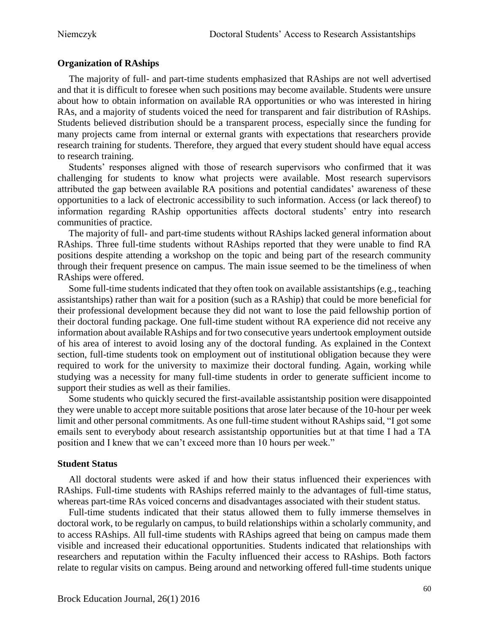## **Organization of RAships**

The majority of full- and part-time students emphasized that RAships are not well advertised and that it is difficult to foresee when such positions may become available. Students were unsure about how to obtain information on available RA opportunities or who was interested in hiring RAs, and a majority of students voiced the need for transparent and fair distribution of RAships. Students believed distribution should be a transparent process, especially since the funding for many projects came from internal or external grants with expectations that researchers provide research training for students. Therefore, they argued that every student should have equal access to research training.

Students' responses aligned with those of research supervisors who confirmed that it was challenging for students to know what projects were available. Most research supervisors attributed the gap between available RA positions and potential candidates' awareness of these opportunities to a lack of electronic accessibility to such information. Access (or lack thereof) to information regarding RAship opportunities affects doctoral students' entry into research communities of practice.

The majority of full- and part-time students without RAships lacked general information about RAships. Three full-time students without RAships reported that they were unable to find RA positions despite attending a workshop on the topic and being part of the research community through their frequent presence on campus. The main issue seemed to be the timeliness of when RAships were offered.

Some full-time students indicated that they often took on available assistantships (e.g., teaching assistantships) rather than wait for a position (such as a RAship) that could be more beneficial for their professional development because they did not want to lose the paid fellowship portion of their doctoral funding package. One full-time student without RA experience did not receive any information about available RAships and for two consecutive years undertook employment outside of his area of interest to avoid losing any of the doctoral funding. As explained in the Context section, full-time students took on employment out of institutional obligation because they were required to work for the university to maximize their doctoral funding. Again, working while studying was a necessity for many full-time students in order to generate sufficient income to support their studies as well as their families.

Some students who quickly secured the first-available assistantship position were disappointed they were unable to accept more suitable positions that arose later because of the 10-hour per week limit and other personal commitments. As one full-time student without RAships said, "I got some emails sent to everybody about research assistantship opportunities but at that time I had a TA position and I knew that we can't exceed more than 10 hours per week."

## **Student Status**

All doctoral students were asked if and how their status influenced their experiences with RAships. Full-time students with RAships referred mainly to the advantages of full-time status, whereas part-time RAs voiced concerns and disadvantages associated with their student status.

Full-time students indicated that their status allowed them to fully immerse themselves in doctoral work, to be regularly on campus, to build relationships within a scholarly community, and to access RAships. All full-time students with RAships agreed that being on campus made them visible and increased their educational opportunities. Students indicated that relationships with researchers and reputation within the Faculty influenced their access to RAships. Both factors relate to regular visits on campus. Being around and networking offered full-time students unique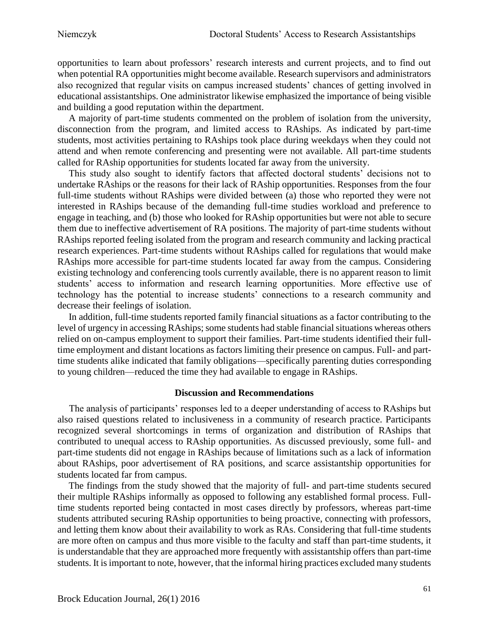opportunities to learn about professors' research interests and current projects, and to find out when potential RA opportunities might become available. Research supervisors and administrators also recognized that regular visits on campus increased students' chances of getting involved in educational assistantships. One administrator likewise emphasized the importance of being visible and building a good reputation within the department.

A majority of part-time students commented on the problem of isolation from the university, disconnection from the program, and limited access to RAships. As indicated by part-time students, most activities pertaining to RAships took place during weekdays when they could not attend and when remote conferencing and presenting were not available. All part-time students called for RAship opportunities for students located far away from the university.

This study also sought to identify factors that affected doctoral students' decisions not to undertake RAships or the reasons for their lack of RAship opportunities. Responses from the four full-time students without RAships were divided between (a) those who reported they were not interested in RAships because of the demanding full-time studies workload and preference to engage in teaching, and (b) those who looked for RAship opportunities but were not able to secure them due to ineffective advertisement of RA positions. The majority of part-time students without RAships reported feeling isolated from the program and research community and lacking practical research experiences. Part-time students without RAships called for regulations that would make RAships more accessible for part-time students located far away from the campus. Considering existing technology and conferencing tools currently available, there is no apparent reason to limit students' access to information and research learning opportunities. More effective use of technology has the potential to increase students' connections to a research community and decrease their feelings of isolation.

In addition, full-time students reported family financial situations as a factor contributing to the level of urgency in accessing RAships; some students had stable financial situations whereas others relied on on-campus employment to support their families. Part-time students identified their fulltime employment and distant locations as factors limiting their presence on campus. Full- and parttime students alike indicated that family obligations—specifically parenting duties corresponding to young children—reduced the time they had available to engage in RAships.

## **Discussion and Recommendations**

The analysis of participants' responses led to a deeper understanding of access to RAships but also raised questions related to inclusiveness in a community of research practice. Participants recognized several shortcomings in terms of organization and distribution of RAships that contributed to unequal access to RAship opportunities. As discussed previously, some full- and part-time students did not engage in RAships because of limitations such as a lack of information about RAships, poor advertisement of RA positions, and scarce assistantship opportunities for students located far from campus.

The findings from the study showed that the majority of full- and part-time students secured their multiple RAships informally as opposed to following any established formal process. Fulltime students reported being contacted in most cases directly by professors, whereas part-time students attributed securing RAship opportunities to being proactive, connecting with professors, and letting them know about their availability to work as RAs. Considering that full-time students are more often on campus and thus more visible to the faculty and staff than part-time students, it is understandable that they are approached more frequently with assistantship offers than part-time students. It is important to note, however, that the informal hiring practices excluded many students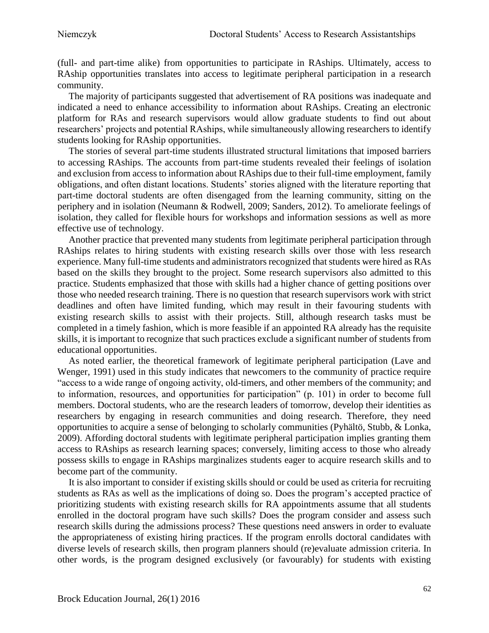(full- and part-time alike) from opportunities to participate in RAships. Ultimately, access to RAship opportunities translates into access to legitimate peripheral participation in a research community.

The majority of participants suggested that advertisement of RA positions was inadequate and indicated a need to enhance accessibility to information about RAships. Creating an electronic platform for RAs and research supervisors would allow graduate students to find out about researchers' projects and potential RAships, while simultaneously allowing researchers to identify students looking for RAship opportunities.

The stories of several part-time students illustrated structural limitations that imposed barriers to accessing RAships. The accounts from part-time students revealed their feelings of isolation and exclusion from access to information about RAships due to their full-time employment, family obligations, and often distant locations. Students' stories aligned with the literature reporting that part-time doctoral students are often disengaged from the learning community, sitting on the periphery and in isolation (Neumann & Rodwell, 2009; Sanders, 2012). To ameliorate feelings of isolation, they called for flexible hours for workshops and information sessions as well as more effective use of technology.

Another practice that prevented many students from legitimate peripheral participation through RAships relates to hiring students with existing research skills over those with less research experience. Many full-time students and administrators recognized that students were hired as RAs based on the skills they brought to the project. Some research supervisors also admitted to this practice. Students emphasized that those with skills had a higher chance of getting positions over those who needed research training. There is no question that research supervisors work with strict deadlines and often have limited funding, which may result in their favouring students with existing research skills to assist with their projects. Still, although research tasks must be completed in a timely fashion, which is more feasible if an appointed RA already has the requisite skills, it is important to recognize that such practices exclude a significant number of students from educational opportunities.

As noted earlier, the theoretical framework of legitimate peripheral participation (Lave and Wenger, 1991) used in this study indicates that newcomers to the community of practice require "access to a wide range of ongoing activity, old-timers, and other members of the community; and to information, resources, and opportunities for participation" (p. 101) in order to become full members. Doctoral students, who are the research leaders of tomorrow, develop their identities as researchers by engaging in research communities and doing research. Therefore, they need opportunities to acquire a sense of belonging to scholarly communities (Pyhältö, Stubb, & Lonka, 2009). Affording doctoral students with legitimate peripheral participation implies granting them access to RAships as research learning spaces; conversely, limiting access to those who already possess skills to engage in RAships marginalizes students eager to acquire research skills and to become part of the community.

It is also important to consider if existing skills should or could be used as criteria for recruiting students as RAs as well as the implications of doing so. Does the program's accepted practice of prioritizing students with existing research skills for RA appointments assume that all students enrolled in the doctoral program have such skills? Does the program consider and assess such research skills during the admissions process? These questions need answers in order to evaluate the appropriateness of existing hiring practices. If the program enrolls doctoral candidates with diverse levels of research skills, then program planners should (re)evaluate admission criteria. In other words, is the program designed exclusively (or favourably) for students with existing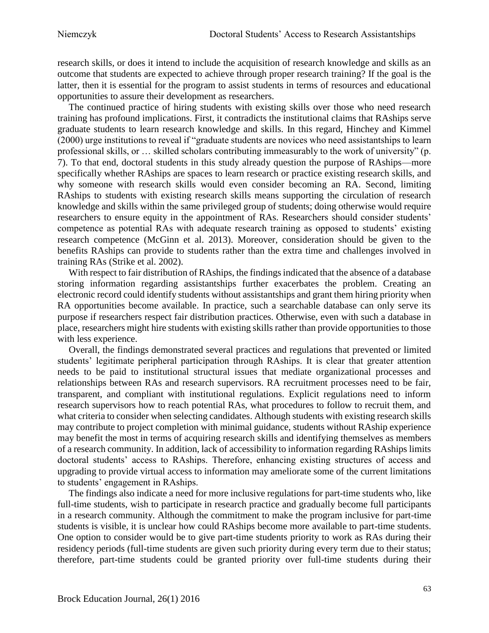research skills, or does it intend to include the acquisition of research knowledge and skills as an outcome that students are expected to achieve through proper research training? If the goal is the latter, then it is essential for the program to assist students in terms of resources and educational opportunities to assure their development as researchers.

The continued practice of hiring students with existing skills over those who need research training has profound implications. First, it contradicts the institutional claims that RAships serve graduate students to learn research knowledge and skills. In this regard, Hinchey and Kimmel (2000) urge institutions to reveal if "graduate students are novices who need assistantships to learn professional skills, or … skilled scholars contributing immeasurably to the work of university" (p. 7). To that end, doctoral students in this study already question the purpose of RAships—more specifically whether RAships are spaces to learn research or practice existing research skills, and why someone with research skills would even consider becoming an RA. Second, limiting RAships to students with existing research skills means supporting the circulation of research knowledge and skills within the same privileged group of students; doing otherwise would require researchers to ensure equity in the appointment of RAs. Researchers should consider students' competence as potential RAs with adequate research training as opposed to students' existing research competence (McGinn et al. 2013). Moreover, consideration should be given to the benefits RAships can provide to students rather than the extra time and challenges involved in training RAs (Strike et al. 2002).

With respect to fair distribution of RAships, the findings indicated that the absence of a database storing information regarding assistantships further exacerbates the problem. Creating an electronic record could identify students without assistantships and grant them hiring priority when RA opportunities become available. In practice, such a searchable database can only serve its purpose if researchers respect fair distribution practices. Otherwise, even with such a database in place, researchers might hire students with existing skills rather than provide opportunities to those with less experience.

Overall, the findings demonstrated several practices and regulations that prevented or limited students' legitimate peripheral participation through RAships. It is clear that greater attention needs to be paid to institutional structural issues that mediate organizational processes and relationships between RAs and research supervisors. RA recruitment processes need to be fair, transparent, and compliant with institutional regulations. Explicit regulations need to inform research supervisors how to reach potential RAs, what procedures to follow to recruit them, and what criteria to consider when selecting candidates. Although students with existing research skills may contribute to project completion with minimal guidance, students without RAship experience may benefit the most in terms of acquiring research skills and identifying themselves as members of a research community. In addition, lack of accessibility to information regarding RAships limits doctoral students' access to RAships. Therefore, enhancing existing structures of access and upgrading to provide virtual access to information may ameliorate some of the current limitations to students' engagement in RAships.

The findings also indicate a need for more inclusive regulations for part-time students who, like full-time students, wish to participate in research practice and gradually become full participants in a research community. Although the commitment to make the program inclusive for part-time students is visible, it is unclear how could RAships become more available to part-time students. One option to consider would be to give part-time students priority to work as RAs during their residency periods (full-time students are given such priority during every term due to their status; therefore, part-time students could be granted priority over full-time students during their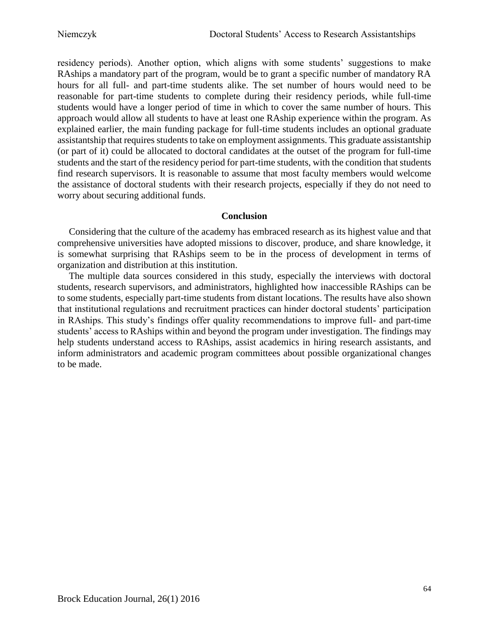residency periods). Another option, which aligns with some students' suggestions to make RAships a mandatory part of the program, would be to grant a specific number of mandatory RA hours for all full- and part-time students alike. The set number of hours would need to be reasonable for part-time students to complete during their residency periods, while full-time students would have a longer period of time in which to cover the same number of hours. This approach would allow all students to have at least one RAship experience within the program. As explained earlier, the main funding package for full-time students includes an optional graduate assistantship that requires students to take on employment assignments. This graduate assistantship (or part of it) could be allocated to doctoral candidates at the outset of the program for full-time students and the start of the residency period for part-time students, with the condition that students find research supervisors. It is reasonable to assume that most faculty members would welcome the assistance of doctoral students with their research projects, especially if they do not need to worry about securing additional funds.

# **Conclusion**

Considering that the culture of the academy has embraced research as its highest value and that comprehensive universities have adopted missions to discover, produce, and share knowledge, it is somewhat surprising that RAships seem to be in the process of development in terms of organization and distribution at this institution.

The multiple data sources considered in this study, especially the interviews with doctoral students, research supervisors, and administrators, highlighted how inaccessible RAships can be to some students, especially part-time students from distant locations. The results have also shown that institutional regulations and recruitment practices can hinder doctoral students' participation in RAships. This study's findings offer quality recommendations to improve full- and part-time students' access to RAships within and beyond the program under investigation. The findings may help students understand access to RAships, assist academics in hiring research assistants, and inform administrators and academic program committees about possible organizational changes to be made.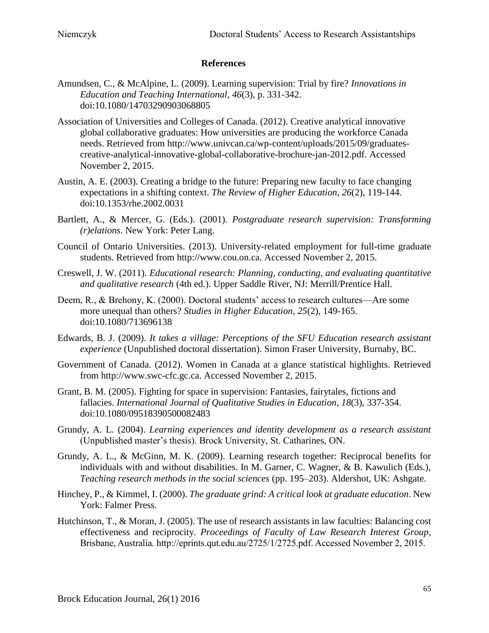## **References**

- Amundsen, C., & McAlpine, L. (2009). Learning supervision: Trial by fire? *Innovations in Education and Teaching International*, *46*(3), p. 331-342. doi:10.1080/14703290903068805
- Association of Universities and Colleges of Canada. (2012). Creative analytical innovative global collaborative graduates: How universities are producing the workforce Canada needs. Retrieved from [http://www.univcan.ca/wp-content/uploads/2015/09/graduates](http://www.univcan.ca/wp-content/uploads/2015/09/graduates-creative-analytical-innovative-global-collaborative-brochure-jan-2012.pdf)[creative-analytical-innovative-global-collaborative-brochure-jan-2012.pdf.](http://www.univcan.ca/wp-content/uploads/2015/09/graduates-creative-analytical-innovative-global-collaborative-brochure-jan-2012.pdf) Accessed November 2, 2015.
- Austin, A. E. (2003). Creating a bridge to the future: Preparing new faculty to face changing expectations in a shifting context. *The Review of Higher Education*, *26*(2), 119-144. doi:10.1353/rhe.2002.0031
- Bartlett, A., & Mercer, G. (Eds.). (2001). *Postgraduate research supervision: Transforming (r)elations*. New York: Peter Lang.
- Council of Ontario Universities. (2013). University-related employment for full-time graduate students. Retrieved from http://www.cou.on.ca. Accessed November 2, 2015.
- Creswell, J. W. (2011). *Educational research: Planning, conducting, and evaluating quantitative and qualitative research* (4th ed.). Upper Saddle River, NJ: Merrill/Prentice Hall.
- Deem, R., & Brehony, K. (2000). Doctoral students' access to research cultures—Are some more unequal than others? *Studies in Higher Education, 25*(2), 149-165. doi:10.1080/713696138
- Edwards, B. J. (2009). *It takes a village: Perceptions of the SFU Education research assistant experience* (Unpublished doctoral dissertation). Simon Fraser University, Burnaby, BC.
- Government of Canada. (2012). Women in Canada at a glance statistical highlights. Retrieved from [http://www.swc-cfc.gc.ca.](http://www.swc-cfc.gc.ca/) Accessed November 2, 2015.
- Grant, B. M. (2005). Fighting for space in supervision: Fantasies, fairytales, fictions and fallacies. *International Journal of Qualitative Studies in Education*, *18*(3), 337-354. doi:10.1080/09518390500082483
- Grundy, A. L. (2004). *Learning experiences and identity development as a research assistant* (Unpublished master's thesis). Brock University, St. Catharines, ON.
- Grundy, A. L., & McGinn, M. K. (2009). Learning research together: Reciprocal benefits for individuals with and without disabilities. In M. Garner, C. Wagner, & B. Kawulich (Eds.), *Teaching research methods in the social sciences* (pp. 195–203). Aldershot, UK: Ashgate.
- Hinchey, P., & Kimmel, I. (2000). *The graduate grind: A critical look at graduate education*. New York: Falmer Press.
- Hutchinson, T., & Moran, J. (2005). The use of research assistants in law faculties: Balancing cost effectiveness and reciprocity. *Proceedings of Faculty of Law Research Interest Group*, Brisbane, Australia. [http://eprints.qut.edu.au/2725/1/2725.pdf.](http://eprints.qut.edu.au/2725/1/2725.pdf) Accessed November 2, 2015.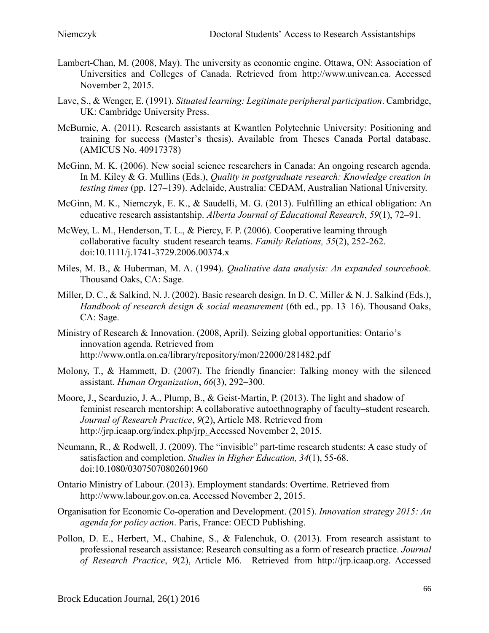- Lambert-Chan, M. (2008, May). The university as economic engine. Ottawa, ON: Association of Universities and Colleges of Canada. Retrieved from [http://www.univcan.ca.](http://www.univcan.ca/) Accessed November 2, 2015.
- Lave, S., & Wenger, E. (1991). *Situated learning: Legitimate peripheral participation*. Cambridge, UK: Cambridge University Press.
- McBurnie, A. (2011). Research assistants at Kwantlen Polytechnic University: Positioning and training for success (Master's thesis). Available from Theses Canada Portal database. (AMICUS No. 40917378)
- McGinn, M. K. (2006). New social science researchers in Canada: An ongoing research agenda. In M. Kiley & G. Mullins (Eds.), *Quality in postgraduate research: Knowledge creation in testing times* (pp. 127–139). Adelaide, Australia: CEDAM, Australian National University.
- McGinn, M. K., Niemczyk, E. K., & Saudelli, M. G. (2013). Fulfilling an ethical obligation: An educative research assistantship. *Alberta Journal of Educational Research*, *59*(1), 72–91.
- McWey, L. M., Henderson, T. L., & Piercy, F. P. (2006). Cooperative learning through collaborative faculty–student research teams. *Family Relations, 55*(2), 252-262. doi:10.1111/j.1741-3729.2006.00374.x
- Miles, M. B., & Huberman, M. A. (1994). *Qualitative data analysis: An expanded sourcebook*. Thousand Oaks, CA: Sage.
- Miller, D. C., & Salkind, N. J. (2002). Basic research design. In D. C. Miller & N. J. Salkind (Eds.), *Handbook of research design & social measurement* (6th ed., pp. 13–16). Thousand Oaks, CA: Sage.
- Ministry of Research & Innovation. (2008, April). Seizing global opportunities: Ontario's innovation agenda. Retrieved from <http://www.ontla.on.ca/library/repository/mon/22000/281482.pdf>
- Molony, T., & Hammett, D. (2007). The friendly financier: Talking money with the silenced assistant. *Human Organization*, *66*(3), 292–300.
- Moore, J., Scarduzio, J. A., Plump, B., & Geist-Martin, P. (2013). The light and shadow of feminist research mentorship: A collaborative autoethnography of faculty–student research. *Journal of Research Practice*, *9*(2), Article M8. Retrieved from [http://jrp.icaap.org/index.php/jrp.](http://jrp.icaap.org/index.php/jrp) Accessed November 2, 2015.
- Neumann, R., & Rodwell, J. (2009). The "invisible" part-time research students: A case study of satisfaction and completion. *Studies in Higher Education, 34*(1), 55-68. doi:10.1080/03075070802601960
- Ontario Ministry of Labour. (2013). Employment standards: Overtime. Retrieved from http://www.labour.gov.on.ca. Accessed November 2, 2015.
- Organisation for Economic Co-operation and Development. (2015). *Innovation strategy 2015: An agenda for policy action*. Paris, France: OECD Publishing.
- Pollon, D. E., Herbert, M., Chahine, S., & Falenchuk, O. (2013). From research assistant to professional research assistance: Research consulting as a form of research practice. *Journal of Research Practice*, *9*(2), Article M6. Retrieved from http://jrp.icaap.org. Accessed